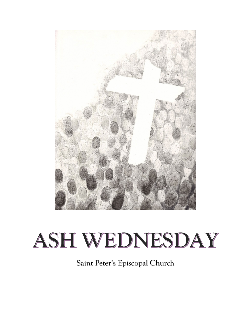

# ASH WEDNESDAY

Saint Peter's Episcopal Church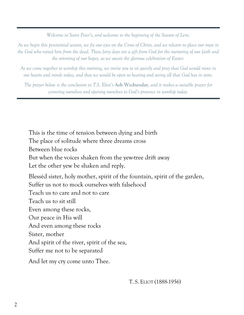*Welcome to Saint Peter's, and welcome to the beginning of the Season of Lent.*

*As we begin this penitential season, we fix our eyes on the Cross of Christ, and we relearn to place our trust in the God who raised him from the dead. These forty days are a gift from God for the nurturing of our faith and the orienting of our hopes, as we await the glorious celebration of Easter.*

*As we come together to worship this morning, we invite you to sit quietly and pray that God would move in our hearts and minds today, and that we would be open to hearing and seeing all that God has in store.*

*The prayer below is the conclusion to T.S. Eliot's* **Ash Wednesday***, and it makes a suitable prayer for centering ourselves and opening ourselves to God's presence in worship today.*

This is the time of tension between dying and birth The place of solitude where three dreams cross Between blue rocks But when the voices shaken from the yew-tree drift away Let the other yew be shaken and reply. Blessèd sister, holy mother, spirit of the fountain, spirit of the garden, Suffer us not to mock ourselves with falsehood Teach us to care and not to care Teach us to sit still Even among these rocks, Our peace in His will And even among these rocks Sister, mother And spirit of the river, spirit of the sea, Suffer me not to be separated And let my cry come unto Thee.

T. S. ELIOT (1888-1956)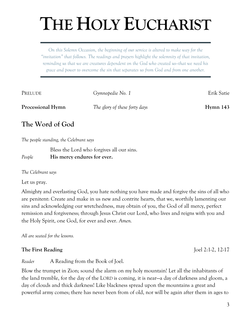## **THE HOLY EUCHARIST**

*On this Solemn Occasion, the beginning of our service is altered to make way for the "invitation" that follows. The readings and prayers highlight the solemnity of that invitation, reminding us that we are creatures dependent on the God who created us—that we need his grace and power to overcome the sin that separates us from God and from one another.* 

| Prelude           | Gymnopedie No. 1              | Erik Satie |
|-------------------|-------------------------------|------------|
| Processional Hymn | The glory of these forty days | Hymn $143$ |

## **The Word of God**

*The people standing, the Celebrant says*

Bless the Lord who forgives all our sins. *People* **His mercy endures for ever.**

*The Celebrant says*

Let us pray.

Almighty and everlasting God, you hate nothing you have made and forgive the sins of all who are penitent: Create and make in us new and contrite hearts, that we, worthily lamenting our sins and acknowledging our wretchedness, may obtain of you, the God of all mercy, perfect remission and forgiveness; through Jesus Christ our Lord, who lives and reigns with you and the Holy Spirit, one God, for ever and ever. *Amen.*

*All are seated for the lessons.*

#### **The First Reading** Joel 2:1-2, 12-17

*Reader* A Reading from the Book of Joel.

Blow the trumpet in Zion; sound the alarm on my holy mountain! Let all the inhabitants of the land tremble, for the day of the LORD is coming, it is near—a day of darkness and gloom, a day of clouds and thick darkness! Like blackness spread upon the mountains a great and powerful army comes; there has never been from of old, nor will be again after them in ages to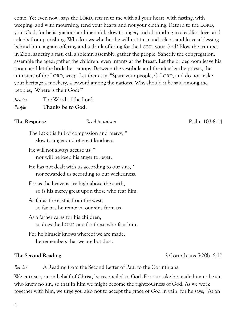come. Yet even now, says the LORD, return to me with all your heart, with fasting, with weeping, and with mourning; rend your hearts and not your clothing. Return to the LORD, your God, for he is gracious and merciful, slow to anger, and abounding in steadfast love, and relents from punishing. Who knows whether he will not turn and relent, and leave a blessing behind him, a grain offering and a drink offering for the LORD, your God? Blow the trumpet in Zion; sanctify a fast; call a solemn assembly; gather the people. Sanctify the congregation; assemble the aged; gather the children, even infants at the breast. Let the bridegroom leave his room, and let the bride her canopy. Between the vestibule and the altar let the priests, the ministers of the LORD, weep. Let them say, "Spare your people, O LORD, and do not make your heritage a mockery, a byword among the nations. Why should it be said among the peoples, 'Where is their God?'"

*Reader* The Word of the Lord. *People* **Thanks be to God.**

The LORD is full of compassion and mercy, \* slow to anger and of great kindness.

He will not always accuse us, \* nor will he keep his anger for ever.

He has not dealt with us according to our sins, \* nor rewarded us according to our wickedness.

For as the heavens are high above the earth, so is his mercy great upon those who fear him.

As far as the east is from the west, so far has he removed our sins from us.

As a father cares for his children, so does the LORD care for those who fear him.

For he himself knows whereof we are made; he remembers that we are but dust.

**The Second Reading** 2 Corinthians 5:20b–6:10

*Reader* A Reading from the Second Letter of Paul to the Corinthians.

We entreat you on behalf of Christ, be reconciled to God. For our sake he made him to be sin who knew no sin, so that in him we might become the righteousness of God. As we work together with him, we urge you also not to accept the grace of God in vain, for he says, "At an

**The Response** *Read in unison.* Psalm 103:8-14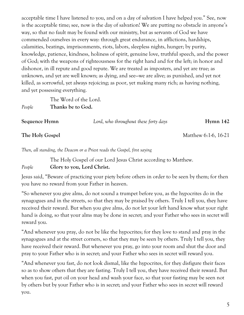acceptable time I have listened to you, and on a day of salvation I have helped you." See, now is the acceptable time; see, now is the day of salvation! We are putting no obstacle in anyone's way, so that no fault may be found with our ministry, but as servants of God we have commended ourselves in every way: through great endurance, in afflictions, hardships, calamities, beatings, imprisonments, riots, labors, sleepless nights, hunger; by purity, knowledge, patience, kindness, holiness of spirit, genuine love, truthful speech, and the power of God; with the weapons of righteousness for the right hand and for the left; in honor and dishonor, in ill repute and good repute. We are treated as imposters, and yet are true; as unknown, and yet are well known; as dying, and see—we are alive; as punished, and yet not killed, as sorrowful, yet always rejoicing; as poor, yet making many rich; as having nothing, and yet possessing everything.

The Word of the Lord. *People* **Thanks be to God.**

| Sequence Hymn   | Lord, who throughout these forty days | Hymn 142             |
|-----------------|---------------------------------------|----------------------|
| The Holy Gospel |                                       | Matthew 6:1-6, 16-21 |

*Then, all standing, the Deacon or a Priest reads the Gospel, first saying*

The Holy Gospel of our Lord Jesus Christ according to Matthew.

#### *People* **Glory to you, Lord Christ.**

Jesus said, "Beware of practicing your piety before others in order to be seen by them; for then you have no reward from your Father in heaven.

"So whenever you give alms, do not sound a trumpet before you, as the hypocrites do in the synagogues and in the streets, so that they may be praised by others. Truly I tell you, they have received their reward. But when you give alms, do not let your left hand know what your right hand is doing, so that your alms may be done in secret; and your Father who sees in secret will reward you.

"And whenever you pray, do not be like the hypocrites; for they love to stand and pray in the synagogues and at the street corners, so that they may be seen by others. Truly I tell you, they have received their reward. But whenever you pray, go into your room and shut the door and pray to your Father who is in secret; and your Father who sees in secret will reward you.

"And whenever you fast, do not look dismal, like the hypocrites, for they disfigure their faces so as to show others that they are fasting. Truly I tell you, they have received their reward. But when you fast, put oil on your head and wash your face, so that your fasting may be seen not by others but by your Father who is in secret; and your Father who sees in secret will reward you.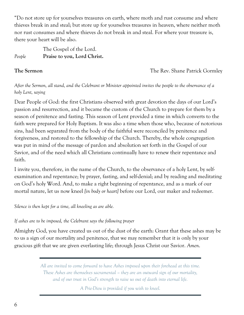"Do not store up for yourselves treasures on earth, where moth and rust consume and where thieves break in and steal; but store up for yourselves treasures in heaven, where neither moth nor rust consumes and where thieves do not break in and steal. For where your treasure is, there your heart will be also.

The Gospel of the Lord. *People* **Praise to you, Lord Christ.**

**The Sermon** The Rev. Shane Patrick Gormley

*After the Sermon, all stand, and the Celebrant or Minister appointed invites the people to the observance of a holy Lent, saying*

Dear People of God: the first Christians observed with great devotion the days of our Lord's passion and resurrection, and it became the custom of the Church to prepare for them by a season of penitence and fasting. This season of Lent provided a time in which converts to the faith were prepared for Holy Baptism. It was also a time when those who, because of notorious sins, had been separated from the body of the faithful were reconciled by penitence and forgiveness, and restored to the fellowship of the Church. Thereby, the whole congregation was put in mind of the message of pardon and absolution set forth in the Gospel of our Savior, and of the need which all Christians continually have to renew their repentance and faith.

I invite you, therefore, in the name of the Church, to the observance of a holy Lent, by selfexamination and repentance; by prayer, fasting, and self-denial; and by reading and meditating on God's holy Word. And, to make a right beginning of repentance, and as a mark of our mortal nature, let us now kneel *[in body or heart]* before our Lord, our maker and redeemer.

*Silence is then kept for a time, all kneeling as are able.* 

*If ashes are to be imposed, the Celebrant says the following prayer*

Almighty God, you have created us out of the dust of the earth: Grant that these ashes may be to us a sign of our mortality and penitence, that we may remember that it is only by your gracious gift that we are given everlasting life; through Jesus Christ our Savior. *Amen*.

> *All are invited to come forward to have Ashes imposed upon their forehead at this time. These Ashes are themselves sacramental – they are an outward sign of our mortality, and of our trust in God's strength to raise us out of death into eternal life.*

> > *A Prie-Dieu is provided if you wish to kneel.*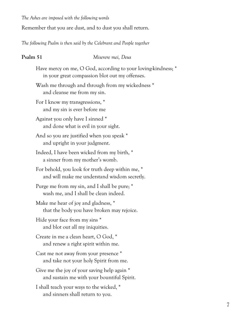*The Ashes are imposed with the following words*

Remember that you are dust, and to dust you shall return.

*The following Psalm is then said by the Celebrant and People together*

| Psalm 51 |                                                                                                  | Miserere mei, Deus                                            |
|----------|--------------------------------------------------------------------------------------------------|---------------------------------------------------------------|
|          | in your great compassion blot out my offenses.                                                   | Have mercy on me, O God, according to your loving-kindness; * |
|          | Wash me through and through from my wickedness *<br>and cleanse me from my sin.                  |                                                               |
|          | For I know my transgressions, *<br>and my sin is ever before me                                  |                                                               |
|          | Against you only have I sinned *<br>and done what is evil in your sight.                         |                                                               |
|          | And so you are justified when you speak *<br>and upright in your judgment.                       |                                                               |
|          | Indeed, I have been wicked from my birth, *<br>a sinner from my mother's womb.                   |                                                               |
|          | For behold, you look for truth deep within me, *<br>and will make me understand wisdom secretly. |                                                               |
|          | Purge me from my sin, and I shall be pure; *<br>wash me, and I shall be clean indeed.            |                                                               |
|          | Make me hear of joy and gladness, *<br>that the body you have broken may rejoice.                |                                                               |
|          | Hide your face from my sins *<br>and blot out all my iniquities.                                 |                                                               |
|          | Create in me a clean heart, O God, *<br>and renew a right spirit within me.                      |                                                               |
|          | Cast me not away from your presence *<br>and take not your holy Spirit from me.                  |                                                               |
|          | Give me the joy of your saving help again *<br>and sustain me with your bountiful Spirit.        |                                                               |
|          | I shall teach your ways to the wicked, *<br>and sinners shall return to you.                     |                                                               |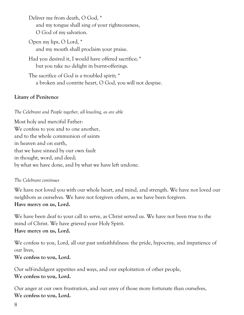Deliver me from death, O God, \* and my tongue shall sing of your righteousness, O God of my salvation.

Open my lips, O Lord, \* and my mouth shall proclaim your praise.

Had you desired it, I would have offered sacrifice; \* but you take no delight in burnt-offerings.

The sacrifice of God is a troubled spirit; \* a broken and contrite heart, O God, you will not despise.

#### **Litany of Penitence**

*The Celebrant and People together, all kneeling, as are able*

Most holy and merciful Father: We confess to you and to one another, and to the whole communion of saints in heaven and on earth, that we have sinned by our own fault in thought, word, and deed; by what we have done, and by what we have left undone.

#### *The Celebrant continues*

We have not loved you with our whole heart, and mind, and strength. We have not loved our neighbors as ourselves. We have not forgiven others, as we have been forgiven. **Have mercy on us, Lord.**

We have been deaf to your call to serve, as Christ served us. We have not been true to the mind of Christ. We have grieved your Holy Spirit. **Have mercy on us, Lord.**

We confess to you, Lord, all our past unfaithfulness: the pride, hypocrisy, and impatience of our lives,

**We confess to you, Lord.**

Our self-indulgent appetites and ways, and our exploitation of other people, **We confess to you, Lord.**

Our anger at our own frustration, and our envy of those more fortunate than ourselves, **We confess to you, Lord.**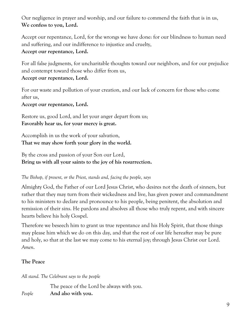Our negligence in prayer and worship, and our failure to commend the faith that is in us, **We confess to you, Lord.**

Accept our repentance, Lord, for the wrongs we have done: for our blindness to human need and suffering, and our indifference to injustice and cruelty,

#### **Accept our repentance, Lord.**

For all false judgments, for uncharitable thoughts toward our neighbors, and for our prejudice and contempt toward those who differ from us,

#### **Accept our repentance, Lord.**

For our waste and pollution of your creation, and our lack of concern for those who come after us,

**Accept our repentance, Lord.**

Restore us, good Lord, and let your anger depart from us; **Favorably hear us, for your mercy is great.**

Accomplish in us the work of your salvation, **That we may show forth your glory in the world.**

By the cross and passion of your Son our Lord, **Bring us with all your saints to the joy of his resurrection.**

#### *The Bishop, if present, or the Priest, stands and, facing the people, says*

Almighty God, the Father of our Lord Jesus Christ, who desires not the death of sinners, but rather that they may turn from their wickedness and live, has given power and commandment to his ministers to declare and pronounce to his people, being penitent, the absolution and remission of their sins. He pardons and absolves all those who truly repent, and with sincere hearts believe his holy Gospel.

Therefore we beseech him to grant us true repentance and his Holy Spirit, that those things may please him which we do on this day, and that the rest of our life hereafter may be pure and holy, so that at the last we may come to his eternal joy; through Jesus Christ our Lord. *Amen*.

#### **The Peace**

*All stand. The Celebrant says to the people*

The peace of the Lord be always with you. *People* **And also with you.**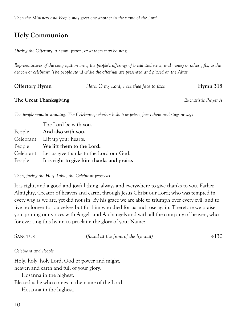*Then the Ministers and People may greet one another in the name of the Lord.*

## **Holy Communion**

*During the Offertory, a hymn, psalm, or anthem may be sung.*

*Representatives of the congregation bring the people's offerings of bread and wine, and money or other gifts, to the deacon or celebrant. The people stand while the offerings are presented and placed on the Altar.*

| Offertory Hymn | Here, O my Lord, I see thee face to face | Hymn 318 |
|----------------|------------------------------------------|----------|
|                |                                          |          |

#### **The Great Thanksgiving** *Eucharistic Prayer A*

*The people remain standing. The Celebrant, whether bishop or priest, faces them and sings or says*

| The Lord be with you.                             |
|---------------------------------------------------|
| People And also with you.                         |
| Celebrant Lift up your hearts.                    |
| People We lift them to the Lord.                  |
| Celebrant Let us give thanks to the Lord our God. |
| People It is right to give him thanks and praise. |

#### *Then, facing the Holy Table, the Celebrant proceeds*

It is right, and a good and joyful thing, always and everywhere to give thanks to you, Father Almighty, Creator of heaven and earth, through Jesus Christ our Lord; who was tempted in every way as we are, yet did not sin. By his grace we are able to triumph over every evil, and to live no longer for ourselves but for him who died for us and rose again. Therefore we praise you, joining our voices with Angels and Archangels and with all the company of heaven, who for ever sing this hymn to proclaim the glory of your Name:

| Sanctus | (found at the front of the hymnal) | $S-130$ |
|---------|------------------------------------|---------|
|         |                                    |         |

#### *Celebrant and People*

Holy, holy, holy Lord, God of power and might, heaven and earth and full of your glory. Hosanna in the highest. Blessed is he who comes in the name of the Lord. Hosanna in the highest.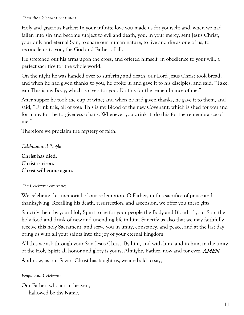#### *Then the Celebrant continues*

Holy and gracious Father: In your infinite love you made us for yourself; and, when we had fallen into sin and become subject to evil and death, you, in your mercy, sent Jesus Christ, your only and eternal Son, to share our human nature, to live and die as one of us, to reconcile us to you, the God and Father of all.

He stretched out his arms upon the cross, and offered himself, in obedience to your will, a perfect sacrifice for the whole world.

On the night he was handed over to suffering and death, our Lord Jesus Christ took bread; and when he had given thanks to you, he broke it, and gave it to his disciples, and said, "Take, eat: This is my Body, which is given for you. Do this for the remembrance of me."

After supper he took the cup of wine; and when he had given thanks, he gave it to them, and said, "Drink this, all of you: This is my Blood of the new Covenant, which is shed for you and for many for the forgiveness of sins. Whenever you drink it, do this for the remembrance of me."

Therefore we proclaim the mystery of faith:

#### *Celebrant and People*

**Christ has died. Christ is risen. Christ will come again.**

#### *The Celebrant continues*

We celebrate this memorial of our redemption, O Father, in this sacrifice of praise and thanksgiving. Recalling his death, resurrection, and ascension, we offer you these gifts.

Sanctify them by your Holy Spirit to be for your people the Body and Blood of your Son, the holy food and drink of new and unending life in him. Sanctify us also that we may faithfully receive this holy Sacrament, and serve you in unity, constancy, and peace; and at the last day bring us with all your saints into the joy of your eternal kingdom.

All this we ask through your Son Jesus Christ. By him, and with him, and in him, in the unity of the Holy Spirit all honor and glory is yours, Almighty Father, now and for ever. AMEN**.**

And now, as our Savior Christ has taught us, we are bold to say,

#### *People and Celebrant*

Our Father, who art in heaven, hallowed be thy Name,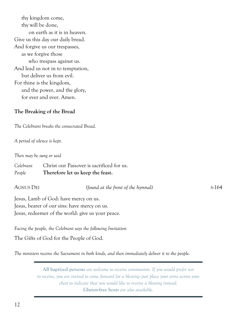|                              | thy kingdom come,                                              |                                    |         |
|------------------------------|----------------------------------------------------------------|------------------------------------|---------|
| thy will be done,            |                                                                |                                    |         |
|                              | on earth as it is in heaven.                                   |                                    |         |
|                              | Give us this day our daily bread.                              |                                    |         |
|                              | And forgive us our trespasses,                                 |                                    |         |
|                              | as we forgive those                                            |                                    |         |
|                              | who trespass against us.                                       |                                    |         |
|                              | And lead us not in to temptation,                              |                                    |         |
|                              | but deliver us from evil.                                      |                                    |         |
|                              | For thine is the kingdom,                                      |                                    |         |
|                              | and the power, and the glory,                                  |                                    |         |
|                              | for ever and ever. Amen.                                       |                                    |         |
|                              | The Breaking of the Bread                                      |                                    |         |
|                              | The Celebrant breaks the consecrated Bread.                    |                                    |         |
| A period of silence is kept. |                                                                |                                    |         |
| Then may be sung or said     |                                                                |                                    |         |
| Celebrant                    | Christ our Passover is sacrificed for us.                      |                                    |         |
| People                       | Therefore let us keep the feast.                               |                                    |         |
| <b>AGNUS DEI</b>             |                                                                | (found at the front of the hymnal) | $S-164$ |
|                              | Jesus, Lamb of God: have mercy on us.                          |                                    |         |
|                              | Jesus, bearer of our sins: have mercy on us.                   |                                    |         |
|                              | Jesus, redeemer of the world: give us your peace.              |                                    |         |
|                              | Facing the people, the Celebrant says the following Invitation |                                    |         |

The Gifts of God for the People of God.

*The ministers receive the Sacrament in both kinds, and then immediately deliver it to the people.*

**All baptized persons** *are welcome to receive communion. If you would prefer not to receive, you are invited to come forward for a blessing—just place your arms across your chest to indicate that you would like to receive a blessing instead.*  **Gluten-free hosts** *are also available.*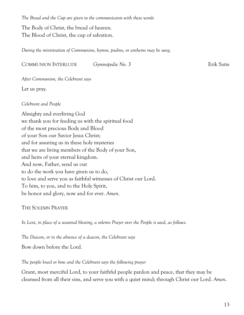*The Bread and the Cup are given to the communicants with these words*

The Body of Christ, the bread of heaven. The Blood of Christ, the cup of salvation.

*During the ministration of Communion, hymns, psalms, or anthems may be sung.*

| <b>COMMUNION INTERLUDE</b> | Gymnopedie No. 3 | Erik Satie |
|----------------------------|------------------|------------|
|----------------------------|------------------|------------|

*After Communion, the Celebrant says*

Let us pray.

#### *Celebrant and People*

Almighty and everliving God we thank you for feeding us with the spiritual food of the most precious Body and Blood of your Son our Savior Jesus Christ; and for assuring us in these holy mysteries that we are living members of the Body of your Son, and heirs of your eternal kingdom. And now, Father, send us out to do the work you have given us to do, to love and serve you as faithful witnesses of Christ our Lord. To him, to you, and to the Holy Spirit, be honor and glory, now and for ever. *Amen*.

#### THE SOLEMN PRAYER

*In Lent, in place of a seasonal blessing, a solemn Prayer over the People is used, as follows.*

*The Deacon, or in the absence of a deacon, the Celebrant says* Bow down before the Lord.

*The people kneel or bow and the Celebrant says the following prayer*

Grant, most merciful Lord, to your faithful people pardon and peace, that they may be cleansed from all their sins, and serve you with a quiet mind; through Christ our Lord. *Amen*.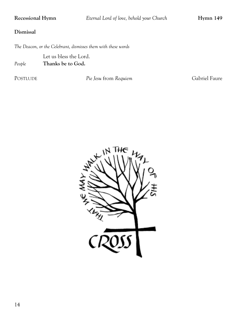**Recessional Hymn** *Eternal Lord of love, behold your Church* **Hymn 149** 

#### **Dismissal**

*The Deacon, or the Celebrant, dismisses them with these words*

Let us bless the Lord.

*People* **Thanks be to God.**

POSTLUDE Pie Jesu from Requiem **Produces** Gabriel Faure

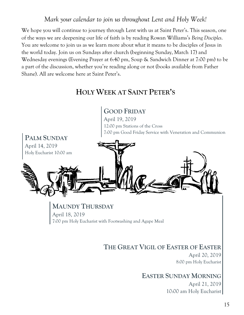### *Mark your calendar to join us throughout Lent and Holy Week!*

We hope you will continue to journey through Lent with us at Saint Peter's. This season, one of the ways we are deepening our life of faith is by reading Rowan Williams's *Being Disciples*. You are welcome to join us as we learn more about what it means to be disciples of Jesus in the world today. Join us on Sundays after church (beginning Sunday, March 17) and Wednesday evenings (Evening Prayer at 6:40 pm, Soup & Sandwich Dinner at 7:00 pm) to be a part of the discussion, whether you're reading along or not (books available from Father Shane). All are welcome here at Saint Peter's.

## **HOLY WEEK AT SAINT PETER'S**



### **EASTER SUNDAY MORNING**

April 21, 2019 10:00 am Holy Eucharist